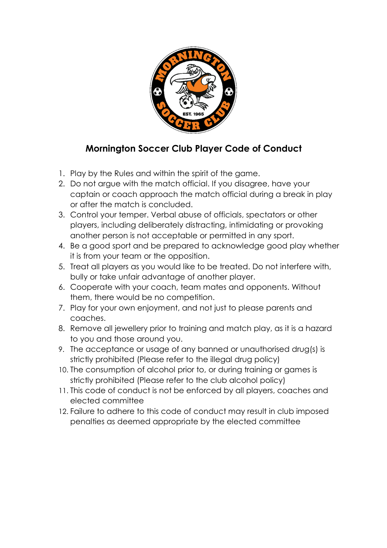

## Mornington Soccer Club Player Code of Conduct

- 1. Play by the Rules and within the spirit of the game.
- 2. Do not argue with the match official. If you disagree, have your captain or coach approach the match official during a break in play or after the match is concluded.
- 3. Control your temper. Verbal abuse of officials, spectators or other players, including deliberately distracting, intimidating or provoking another person is not acceptable or permitted in any sport.
- 4. Be a good sport and be prepared to acknowledge good play whether it is from your team or the opposition.
- 5. Treat all players as you would like to be treated. Do not interfere with, bully or take unfair advantage of another player.
- 6. Cooperate with your coach, team mates and opponents. Without them, there would be no competition.
- 7. Play for your own enjoyment, and not just to please parents and coaches.
- 8. Remove all jewellery prior to training and match play, as it is a hazard to you and those around you.
- 9. The acceptance or usage of any banned or unauthorised drug(s) is strictly prohibited (Please refer to the illegal drug policy)
- 10. The consumption of alcohol prior to, or during training or games is strictly prohibited (Please refer to the club alcohol policy)
- 11. This code of conduct is not be enforced by all players, coaches and elected committee
- 12. Failure to adhere to this code of conduct may result in club imposed penalties as deemed appropriate by the elected committee